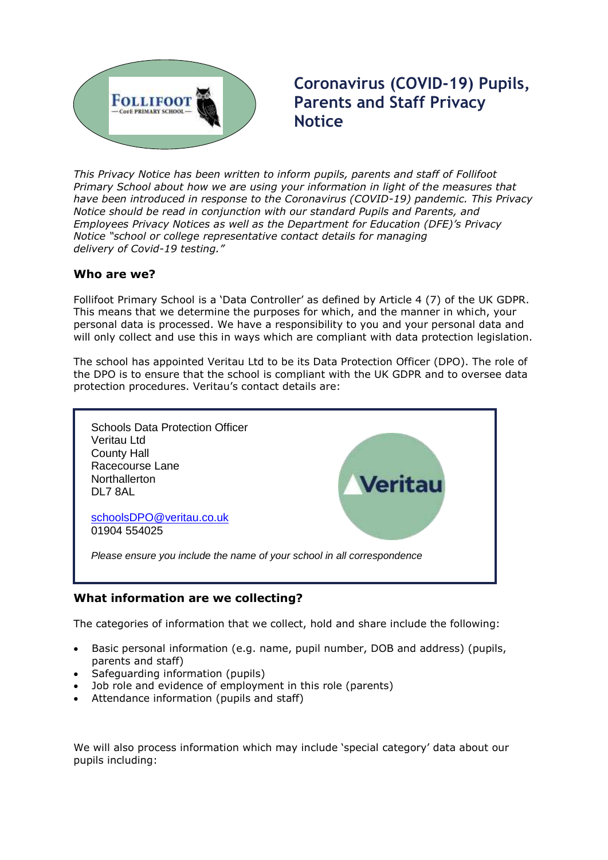

# **Coronavirus (COVID-19) Pupils, Parents and Staff Privacy Notice**

**This Privacy Notice has been written to inform pupils, parents and staff of Follifoot** *Primary Notice has been written to inform pupils, parents and stair of Follhoot*<br>Primary School about how we are using your information in light of the measures that *have been introduced in response to the Coronavirus (COVID-19) pandemic. This Privacy Notice should be read in conjunction with our standard Pupils and Parents, and Employees Privacy Notices as well as the Department for Education (DFE)'s Privacy Notice "school or college representative contact details for managing delivery of Covid-19 testing."*

## **Who are we?**

Follifoot Primary School is a 'Data Controller' as defined by Article 4 (7) of the UK GDPR. This means that we determine the purposes for which, and the manner in which, your personal data is processed. We have a responsibility to you and your personal data and will only collect and use this in ways which are compliant with data protection legislation.

The school has appointed Veritau Ltd to be its Data Protection Officer (DPO). The role of the DPO is to ensure that the school is compliant with the UK GDPR and to oversee data protection procedures. Veritau's contact details are:



# **What information are we collecting?**

The categories of information that we collect, hold and share include the following:

- Basic personal information (e.g. name, pupil number, DOB and address) (pupils, parents and staff)
- Safeguarding information (pupils)
- Job role and evidence of employment in this role (parents)
- Attendance information (pupils and staff)

We will also process information which may include 'special category' data about our pupils including: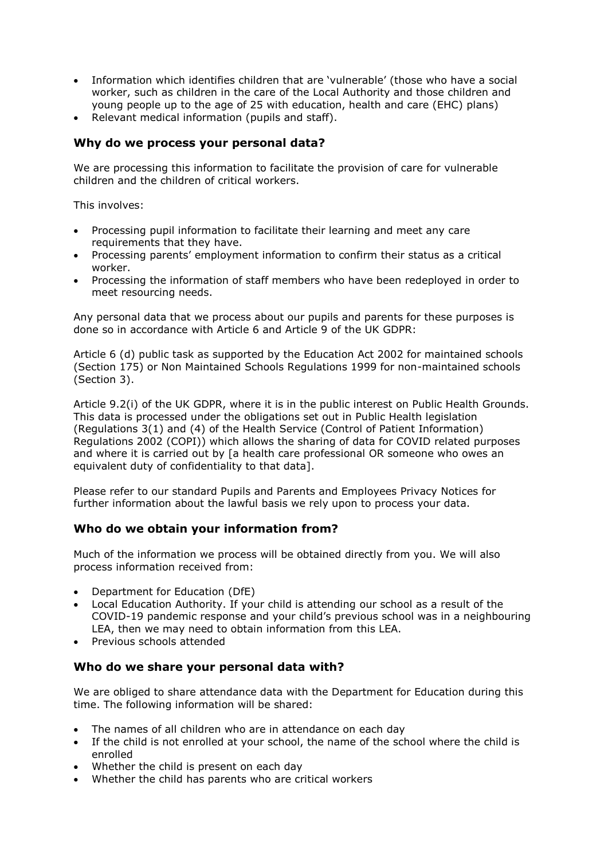- Information which identifies children that are 'vulnerable' (those who have a social worker, such as children in the care of the Local Authority and those children and young people up to the age of 25 with education, health and care (EHC) plans)
- Relevant medical information (pupils and staff).

## **Why do we process your personal data?**

We are processing this information to facilitate the provision of care for vulnerable children and the children of critical workers.

This involves:

- Processing pupil information to facilitate their learning and meet any care requirements that they have.
- Processing parents' employment information to confirm their status as a critical worker.
- Processing the information of staff members who have been redeployed in order to meet resourcing needs.

Any personal data that we process about our pupils and parents for these purposes is done so in accordance with Article 6 and Article 9 of the UK GDPR:

Article 6 (d) public task as supported by the Education Act 2002 for maintained schools (Section 175) or Non Maintained Schools Regulations 1999 for non-maintained schools (Section 3).

Article 9.2(i) of the UK GDPR, where it is in the public interest on Public Health Grounds. This data is processed under the obligations set out in Public Health legislation (Regulations 3(1) and (4) of the Health Service (Control of Patient Information) Regulations 2002 (COPI)) which allows the sharing of data for COVID related purposes and where it is carried out by [a health care professional OR someone who owes an equivalent duty of confidentiality to that data].

Please refer to our standard Pupils and Parents and Employees Privacy Notices for further information about the lawful basis we rely upon to process your data.

## **Who do we obtain your information from?**

Much of the information we process will be obtained directly from you. We will also process information received from:

- Department for Education (DfE)
- Local Education Authority. If your child is attending our school as a result of the COVID-19 pandemic response and your child's previous school was in a neighbouring LEA, then we may need to obtain information from this LEA.
- Previous schools attended

#### **Who do we share your personal data with?**

We are obliged to share attendance data with the Department for Education during this time. The following information will be shared:

- The names of all children who are in attendance on each day
- If the child is not enrolled at your school, the name of the school where the child is enrolled
- Whether the child is present on each day
- Whether the child has parents who are critical workers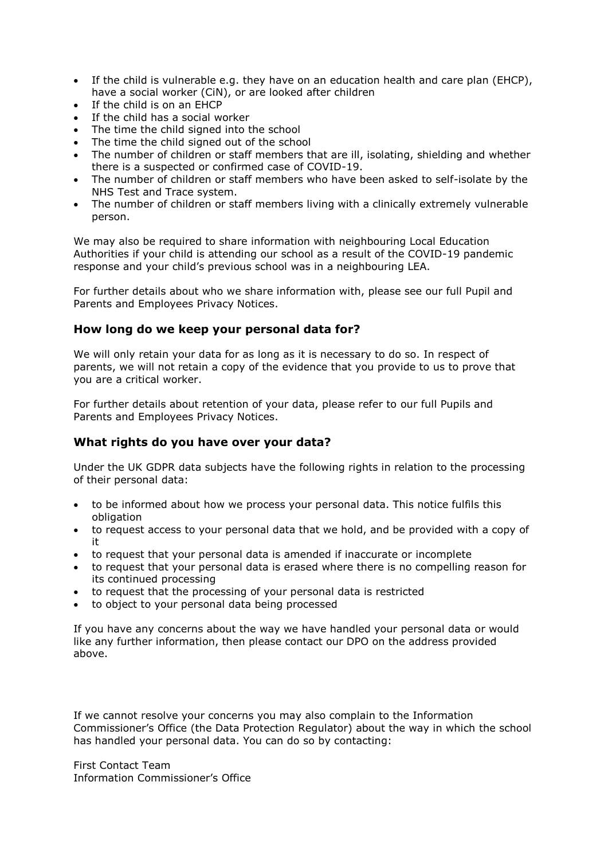- If the child is vulnerable e.g. they have on an education health and care plan (EHCP), have a social worker (CiN), or are looked after children
- If the child is on an EHCP
- If the child has a social worker
- The time the child signed into the school
- The time the child signed out of the school
- The number of children or staff members that are ill, isolating, shielding and whether there is a suspected or confirmed case of COVID-19.
- The number of children or staff members who have been asked to self-isolate by the NHS Test and Trace system.
- The number of children or staff members living with a clinically extremely vulnerable person.

We may also be required to share information with neighbouring Local Education Authorities if your child is attending our school as a result of the COVID-19 pandemic response and your child's previous school was in a neighbouring LEA.

For further details about who we share information with, please see our full Pupil and Parents and Employees Privacy Notices.

## **How long do we keep your personal data for?**

We will only retain your data for as long as it is necessary to do so. In respect of parents, we will not retain a copy of the evidence that you provide to us to prove that you are a critical worker.

For further details about retention of your data, please refer to our full Pupils and Parents and Employees Privacy Notices.

# **What rights do you have over your data?**

Under the UK GDPR data subjects have the following rights in relation to the processing of their personal data:

- to be informed about how we process your personal data. This notice fulfils this obligation
- to request access to your personal data that we hold, and be provided with a copy of it
- to request that your personal data is amended if inaccurate or incomplete
- to request that your personal data is erased where there is no compelling reason for its continued processing
- to request that the processing of your personal data is restricted
- to object to your personal data being processed

If you have any concerns about the way we have handled your personal data or would like any further information, then please contact our DPO on the address provided above.

If we cannot resolve your concerns you may also complain to the Information Commissioner's Office (the Data Protection Regulator) about the way in which the school has handled your personal data. You can do so by contacting:

First Contact Team Information Commissioner's Office